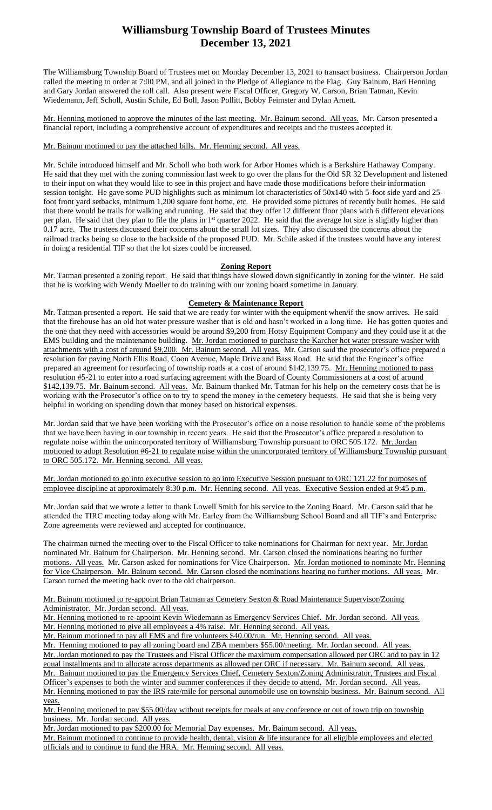## **Williamsburg Township Board of Trustees Minutes December 13, 2021**

The Williamsburg Township Board of Trustees met on Monday December 13, 2021 to transact business. Chairperson Jordan called the meeting to order at 7:00 PM, and all joined in the Pledge of Allegiance to the Flag. Guy Bainum, Bari Henning and Gary Jordan answered the roll call. Also present were Fiscal Officer, Gregory W. Carson, Brian Tatman, Kevin Wiedemann, Jeff Scholl, Austin Schile, Ed Boll, Jason Pollitt, Bobby Feimster and Dylan Arnett.

Mr. Henning motioned to approve the minutes of the last meeting. Mr. Bainum second. All yeas. Mr. Carson presented a financial report, including a comprehensive account of expenditures and receipts and the trustees accepted it.

Mr. Bainum motioned to pay the attached bills. Mr. Henning second. All yeas.

Mr. Schile introduced himself and Mr. Scholl who both work for Arbor Homes which is a Berkshire Hathaway Company. He said that they met with the zoning commission last week to go over the plans for the Old SR 32 Development and listened to their input on what they would like to see in this project and have made those modifications before their information session tonight. He gave some PUD highlights such as minimum lot characteristics of 50x140 with 5-foot side yard and 25 foot front yard setbacks, minimum 1,200 square foot home, etc. He provided some pictures of recently built homes. He said that there would be trails for walking and running. He said that they offer 12 different floor plans with 6 different elevations per plan. He said that they plan to file the plans in 1<sup>st</sup> quarter 2022. He said that the average lot size is slightly higher than 0.17 acre. The trustees discussed their concerns about the small lot sizes. They also discussed the concerns about the railroad tracks being so close to the backside of the proposed PUD. Mr. Schile asked if the trustees would have any interest in doing a residential TIF so that the lot sizes could be increased.

### **Zoning Report**

Mr. Tatman presented a zoning report. He said that things have slowed down significantly in zoning for the winter. He said that he is working with Wendy Moeller to do training with our zoning board sometime in January.

### **Cemetery & Maintenance Report**

Mr. Tatman presented a report. He said that we are ready for winter with the equipment when/if the snow arrives. He said that the firehouse has an old hot water pressure washer that is old and hasn't worked in a long time. He has gotten quotes and the one that they need with accessories would be around \$9,200 from Hotsy Equipment Company and they could use it at the EMS building and the maintenance building. Mr. Jordan motioned to purchase the Karcher hot water pressure washer with attachments with a cost of around \$9,200. Mr. Bainum second. All yeas. Mr. Carson said the prosecutor's office prepared a resolution for paving North Ellis Road, Coon Avenue, Maple Drive and Bass Road. He said that the Engineer's office prepared an agreement for resurfacing of township roads at a cost of around \$142,139.75. Mr. Henning motioned to pass resolution #5-21 to enter into a road surfacing agreement with the Board of County Commissioners at a cost of around \$142,139.75. Mr. Bainum second. All yeas. Mr. Bainum thanked Mr. Tatman for his help on the cemetery costs that he is working with the Prosecutor's office on to try to spend the money in the cemetery bequests. He said that she is being very helpful in working on spending down that money based on historical expenses.

Mr. Jordan said that we have been working with the Prosecutor's office on a noise resolution to handle some of the problems that we have been having in our township in recent years. He said that the Prosecutor's office prepared a resolution to regulate noise within the unincorporated territory of Williamsburg Township pursuant to ORC 505.172. Mr. Jordan motioned to adopt Resolution #6-21 to regulate noise within the unincorporated territory of Williamsburg Township pursuant to ORC 505.172. Mr. Henning second. All yeas.

Mr. Jordan motioned to go into executive session to go into Executive Session pursuant to ORC 121.22 for purposes of employee discipline at approximately 8:30 p.m. Mr. Henning second. All yeas. Executive Session ended at 9:45 p.m.

Mr. Jordan said that we wrote a letter to thank Lowell Smith for his service to the Zoning Board. Mr. Carson said that he attended the TIRC meeting today along with Mr. Earley from the Williamsburg School Board and all TIF's and Enterprise Zone agreements were reviewed and accepted for continuance.

The chairman turned the meeting over to the Fiscal Officer to take nominations for Chairman for next year. Mr. Jordan nominated Mr. Bainum for Chairperson. Mr. Henning second. Mr. Carson closed the nominations hearing no further motions. All yeas. Mr. Carson asked for nominations for Vice Chairperson. Mr. Jordan motioned to nominate Mr. Henning for Vice Chairperson. Mr. Bainum second. Mr. Carson closed the nominations hearing no further motions. All yeas. Mr. Carson turned the meeting back over to the old chairperson.

#### Mr. Bainum motioned to re-appoint Brian Tatman as Cemetery Sexton & Road Maintenance Supervisor/Zoning Administrator. Mr. Jordan second. All yeas.

Mr. Henning motioned to re-appoint Kevin Wiedemann as Emergency Services Chief. Mr. Jordan second. All yeas. Mr. Henning motioned to give all employees a 4% raise. Mr. Henning second. All yeas.

Mr. Bainum motioned to pay all EMS and fire volunteers \$40.00/run. Mr. Henning second. All yeas.

Mr. Henning motioned to pay all zoning board and ZBA members \$55.00/meeting. Mr. Jordan second. All yeas. Mr. Jordan motioned to pay the Trustees and Fiscal Officer the maximum compensation allowed per ORC and to pay in 12 equal installments and to allocate across departments as allowed per ORC if necessary. Mr. Bainum second. All yeas. Mr. Bainum motioned to pay the Emergency Services Chief, Cemetery Sexton/Zoning Administrator, Trustees and Fiscal Officer's expenses to both the winter and summer conferences if they decide to attend. Mr. Jordan second. All yeas. Mr. Henning motioned to pay the IRS rate/mile for personal automobile use on township business. Mr. Bainum second. All yeas.

Mr. Henning motioned to pay \$55.00/day without receipts for meals at any conference or out of town trip on township business. Mr. Jordan second. All yeas.

Mr. Jordan motioned to pay \$200.00 for Memorial Day expenses. Mr. Bainum second. All yeas.

Mr. Bainum motioned to continue to provide health, dental, vision & life insurance for all eligible employees and elected officials and to continue to fund the HRA. Mr. Henning second. All yeas.